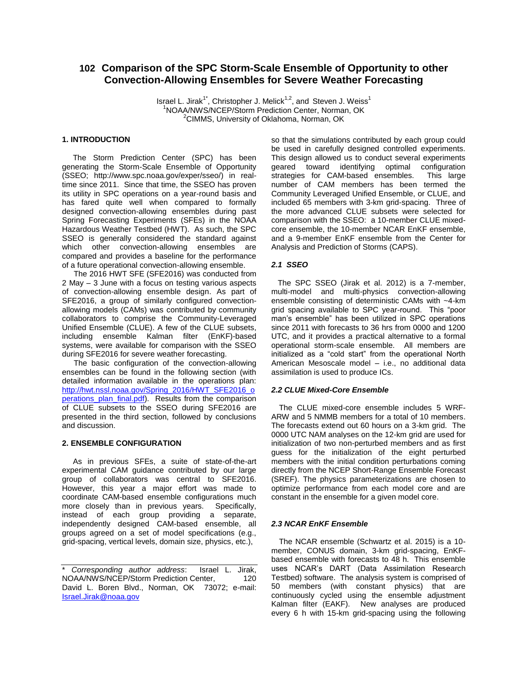# **102 Comparison of the SPC Storm-Scale Ensemble of Opportunity to other Convection-Allowing Ensembles for Severe Weather Forecasting**

Israel L. Jirak<sup>1\*</sup>, Christopher J. Melick<sup>1,2</sup>, and Steven J. Weiss<sup>1</sup> <sup>1</sup>NOAA/NWS/NCEP/Storm Prediction Center, Norman, OK <sup>2</sup>CIMMS, University of Oklahoma, Norman, OK

# **1. INTRODUCTION**

 The Storm Prediction Center (SPC) has been generating the Storm-Scale Ensemble of Opportunity (SSEO; http://www.spc.noaa.gov/exper/sseo/) in realtime since 2011. Since that time, the SSEO has proven its utility in SPC operations on a year-round basis and has fared quite well when compared to formally designed convection-allowing ensembles during past Spring Forecasting Experiments (SFEs) in the NOAA Hazardous Weather Testbed (HWT). As such, the SPC SSEO is generally considered the standard against which other convection-allowing ensembles are compared and provides a baseline for the performance of a future operational convection-allowing ensemble.

The 2016 HWT SFE (SFE2016) was conducted from 2 May – 3 June with a focus on testing various aspects of convection-allowing ensemble design. As part of SFE2016, a group of similarly configured convectionallowing models (CAMs) was contributed by community collaborators to comprise the Community-Leveraged Unified Ensemble (CLUE). A few of the CLUE subsets, including ensemble Kalman filter (EnKF)-based systems, were available for comparison with the SSEO during SFE2016 for severe weather forecasting.

The basic configuration of the convection-allowing ensembles can be found in the following section (with detailed information available in the operations plan: [http://hwt.nssl.noaa.gov/Spring\\_2016/HWT\\_SFE2016\\_o](http://hwt.nssl.noaa.gov/Spring_2016/HWT_SFE2016_operations_plan_final.pdf) [perations\\_plan\\_final.pdf\)](http://hwt.nssl.noaa.gov/Spring_2016/HWT_SFE2016_operations_plan_final.pdf). Results from the comparison of CLUE subsets to the SSEO during SFE2016 are presented in the third section, followed by conclusions and discussion.

#### **2. ENSEMBLE CONFIGURATION**

 As in previous SFEs, a suite of state-of-the-art experimental CAM guidance contributed by our large group of collaborators was central to SFE2016. However, this year a major effort was made to coordinate CAM-based ensemble configurations much more closely than in previous years. Specifically, instead of each group providing a separate, independently designed CAM-based ensemble, all groups agreed on a set of model specifications (e.g., grid-spacing, vertical levels, domain size, physics, etc.),

so that the simulations contributed by each group could be used in carefully designed controlled experiments. This design allowed us to conduct several experiments geared toward identifying optimal configuration strategies for CAM-based ensembles. This large number of CAM members has been termed the Community Leveraged Unified Ensemble, or CLUE, and included 65 members with 3-km grid-spacing. Three of the more advanced CLUE subsets were selected for comparison with the SSEO: a 10-member CLUE mixedcore ensemble, the 10-member NCAR EnKF ensemble, and a 9-member EnKF ensemble from the Center for Analysis and Prediction of Storms (CAPS).

## *2.1 SSEO*

 The SPC SSEO (Jirak et al. 2012) is a 7-member, multi-model and multi-physics convection-allowing ensemble consisting of deterministic CAMs with ~4-km grid spacing available to SPC year-round. This "poor man's ensemble" has been utilized in SPC operations since 2011 with forecasts to 36 hrs from 0000 and 1200 UTC, and it provides a practical alternative to a formal operational storm-scale ensemble. All members are initialized as a "cold start" from the operational North American Mesoscale model – i.e., no additional data assimilation is used to produce ICs.

#### *2.2 CLUE Mixed-Core Ensemble*

The CLUE mixed-core ensemble includes 5 WRF-ARW and 5 NMMB members for a total of 10 members. The forecasts extend out 60 hours on a 3-km grid. The 0000 UTC NAM analyses on the 12-km grid are used for initialization of two non-perturbed members and as first guess for the initialization of the eight perturbed members with the initial condition perturbations coming directly from the NCEP Short-Range Ensemble Forecast (SREF). The physics parameterizations are chosen to optimize performance from each model core and are constant in the ensemble for a given model core.

#### *2.3 NCAR EnKF Ensemble*

The NCAR ensemble (Schwartz et al. 2015) is a 10 member, CONUS domain, 3-km grid-spacing, EnKFbased ensemble with forecasts to 48 h. This ensemble uses NCAR's DART (Data Assimilation Research Testbed) software. The analysis system is comprised of 50 members (with constant physics) that are continuously cycled using the ensemble adjustment Kalman filter (EAKF). New analyses are produced every 6 h with 15-km grid-spacing using the following

<sup>\*</sup> *Corresponding author address*: Israel L. Jirak, NOAA/NWS/NCEP/Storm Prediction Center. 120 David L. Boren Blvd., Norman, OK 73072; e-mail: [Israel.Jirak@noaa.gov](mailto:Israel.Jirak@noaa.gov)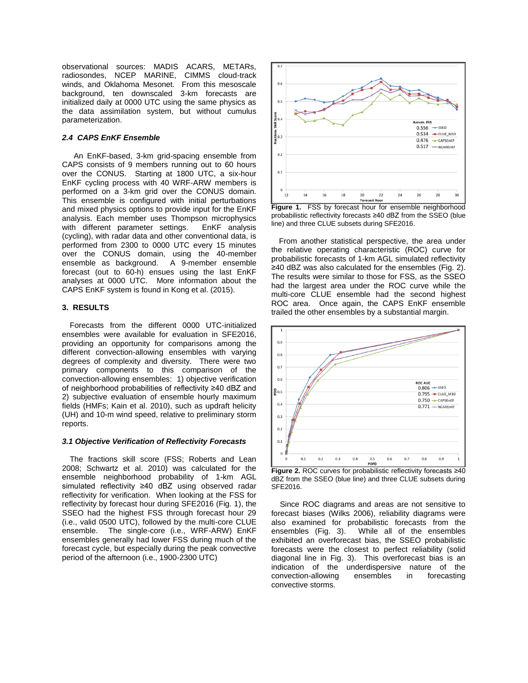observational sources: MADIS ACARS, METARs, radiosondes, NCEP MARINE, CIMMS cloud-track winds, and Oklahoma Mesonet. From this mesoscale background, ten downscaled 3-km forecasts are initialized daily at 0000 UTC using the same physics as the data assimilation system, but without cumulus parameterization.

# *2.4 CAPS EnKF Ensemble*

An EnKF-based, 3-km grid-spacing ensemble from CAPS consists of 9 members running out to 60 hours over the CONUS. Starting at 1800 UTC, a six-hour EnKF cycling process with 40 WRF-ARW members is performed on a 3-km grid over the CONUS domain. This ensemble is configured with initial perturbations and mixed physics options to provide input for the EnKF analysis. Each member uses Thompson microphysics with different parameter settings. EnKF analysis (cycling), with radar data and other conventional data, is performed from 2300 to 0000 UTC every 15 minutes over the CONUS domain, using the 40-member ensemble as background. A 9-member ensemble forecast (out to 60-h) ensues using the last EnKF analyses at 0000 UTC. More information about the CAPS EnKF system is found in Kong et al. (2015).

## **3. RESULTS**

Forecasts from the different 0000 UTC-initialized ensembles were available for evaluation in SFE2016, providing an opportunity for comparisons among the different convection-allowing ensembles with varying degrees of complexity and diversity. There were two primary components to this comparison of the convection-allowing ensembles: 1) objective verification of neighborhood probabilities of reflectivity ≥40 dBZ and 2) subjective evaluation of ensemble hourly maximum fields (HMFs; Kain et al. 2010), such as updraft helicity (UH) and 10-m wind speed, relative to preliminary storm reports.

#### *3.1 Objective Verification of Reflectivity Forecasts*

The fractions skill score (FSS; Roberts and Lean 2008; Schwartz et al. 2010) was calculated for the ensemble neighborhood probability of 1-km AGL simulated reflectivity ≥40 dBZ using observed radar reflectivity for verification. When looking at the FSS for reflectivity by forecast hour during SFE2016 (Fig. 1), the SSEO had the highest FSS through forecast hour 29 (i.e., valid 0500 UTC), followed by the multi-core CLUE ensemble. The single-core (i.e., WRF-ARW) EnKF ensembles generally had lower FSS during much of the forecast cycle, but especially during the peak convective period of the afternoon (i.e., 1900-2300 UTC)



Figure 1. FSS by forecast hour for ensemble neighborhood probabilistic reflectivity forecasts ≥40 dBZ from the SSEO (blue line) and three CLUE subsets during SFE2016.

From another statistical perspective, the area under the relative operating characteristic (ROC) curve for probabilistic forecasts of 1-km AGL simulated reflectivity ≥40 dBZ was also calculated for the ensembles (Fig. 2). The results were similar to those for FSS, as the SSEO had the largest area under the ROC curve while the multi-core CLUE ensemble had the second highest ROC area. Once again, the CAPS EnKF ensemble trailed the other ensembles by a substantial margin.



dBZ from the SSEO (blue line) and three CLUE subsets during SFE2016.

 Since ROC diagrams and areas are not sensitive to forecast biases (Wilks 2006), reliability diagrams were also examined for probabilistic forecasts from the ensembles (Fig. 3). While all of the ensembles exhibited an overforecast bias, the SSEO probabilistic forecasts were the closest to perfect reliability (solid diagonal line in Fig. 3). This overforecast bias is an indication of the underdispersive nature of the convection-allowing ensembles in forecasting convective storms.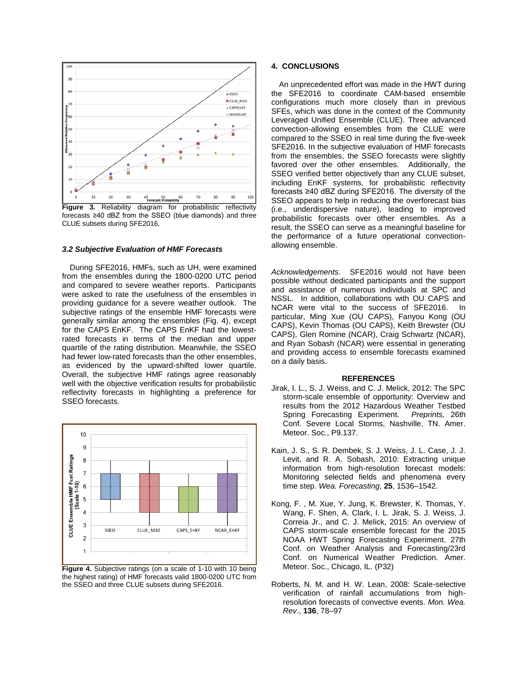

**Figure 3.** Reliability diagram for probabilistic reflectivity forecasts ≥40 dBZ from the SSEO (blue diamonds) and three CLUE subsets during SFE2016.

#### *3.2 Subjective Evaluation of HMF Forecasts*

During SFE2016, HMFs, such as UH, were examined from the ensembles during the 1800-0200 UTC period and compared to severe weather reports. Participants were asked to rate the usefulness of the ensembles in providing guidance for a severe weather outlook. The subjective ratings of the ensemble HMF forecasts were generally similar among the ensembles (Fig. 4), except for the CAPS EnKF. The CAPS EnKF had the lowestrated forecasts in terms of the median and upper quartile of the rating distribution. Meanwhile, the SSEO had fewer low-rated forecasts than the other ensembles, as evidenced by the upward-shifted lower quartile. Overall, the subjective HMF ratings agree reasonably well with the objective verification results for probabilistic reflectivity forecasts in highlighting a preference for SSEO forecasts.



**Figure 4.** Subjective ratings (on a scale of 1-10 with 10 being the highest rating) of HMF forecasts valid 1800-0200 UTC from the SSEO and three CLUE subsets during SFE2016.

## **4. CONCLUSIONS**

An unprecedented effort was made in the HWT during the SFE2016 to coordinate CAM-based ensemble configurations much more closely than in previous SFEs, which was done in the context of the Community Leveraged Unified Ensemble (CLUE). Three advanced convection-allowing ensembles from the CLUE were compared to the SSEO in real time during the five-week SFE2016. In the subjective evaluation of HMF forecasts from the ensembles, the SSEO forecasts were slightly favored over the other ensembles. Additionally, the SSEO verified better objectively than any CLUE subset, including EnKF systems, for probabilistic reflectivity forecasts ≥40 dBZ during SFE2016. The diversity of the SSEO appears to help in reducing the overforecast bias (i.e., underdispersive nature), leading to improved probabilistic forecasts over other ensembles. As a result, the SSEO can serve as a meaningful baseline for the performance of a future operational convectionallowing ensemble.

*Acknowledgements*. SFE2016 would not have been possible without dedicated participants and the support and assistance of numerous individuals at SPC and NSSL. In addition, collaborations with OU CAPS and NCAR were vital to the success of SFE2016. In particular, Ming Xue (OU CAPS), Fanyou Kong (OU CAPS), Kevin Thomas (OU CAPS), Keith Brewster (OU CAPS), Glen Romine (NCAR), Craig Schwartz (NCAR), and Ryan Sobash (NCAR) were essential in generating and providing access to ensemble forecasts examined on a daily basis.

### **REFERENCES**

- Jirak, I. L., S. J. Weiss, and C. J. Melick, 2012: The SPC storm-scale ensemble of opportunity: Overview and results from the 2012 Hazardous Weather Testbed Spring Forecasting Experiment. *Preprints,* 26th Conf. Severe Local Storms, Nashville, TN. Amer. Meteor. Soc., P9.137.
- Kain, J. S., S. R. Dembek, S. J. Weiss, J. L. Case, J. J. Levit, and R. A. Sobash, 2010: Extracting unique information from high-resolution forecast models: Monitoring selected fields and phenomena every time step. *Wea. Forecasting*, **25**, 1536–1542.
- Kong, F. , M. Xue, Y. Jung, K. Brewster, K. Thomas, Y. Wang, F. Shen, A. Clark, I. L. Jirak, S. J. Weiss, J. Correia Jr., and C. J. Melick, 2015: An overview of CAPS storm-scale ensemble forecast for the 2015 NOAA HWT Spring Forecasting Experiment. 27th Conf. on Weather Analysis and Forecasting/23rd Conf. on Numerical Weather Prediction. Amer. Meteor. Soc., Chicago, IL. (P32)
- Roberts, N. M. and H. W. Lean, 2008: Scale-selective verification of rainfall accumulations from highresolution forecasts of convective events. *Mon. Wea. Rev*., **136**, 78–97